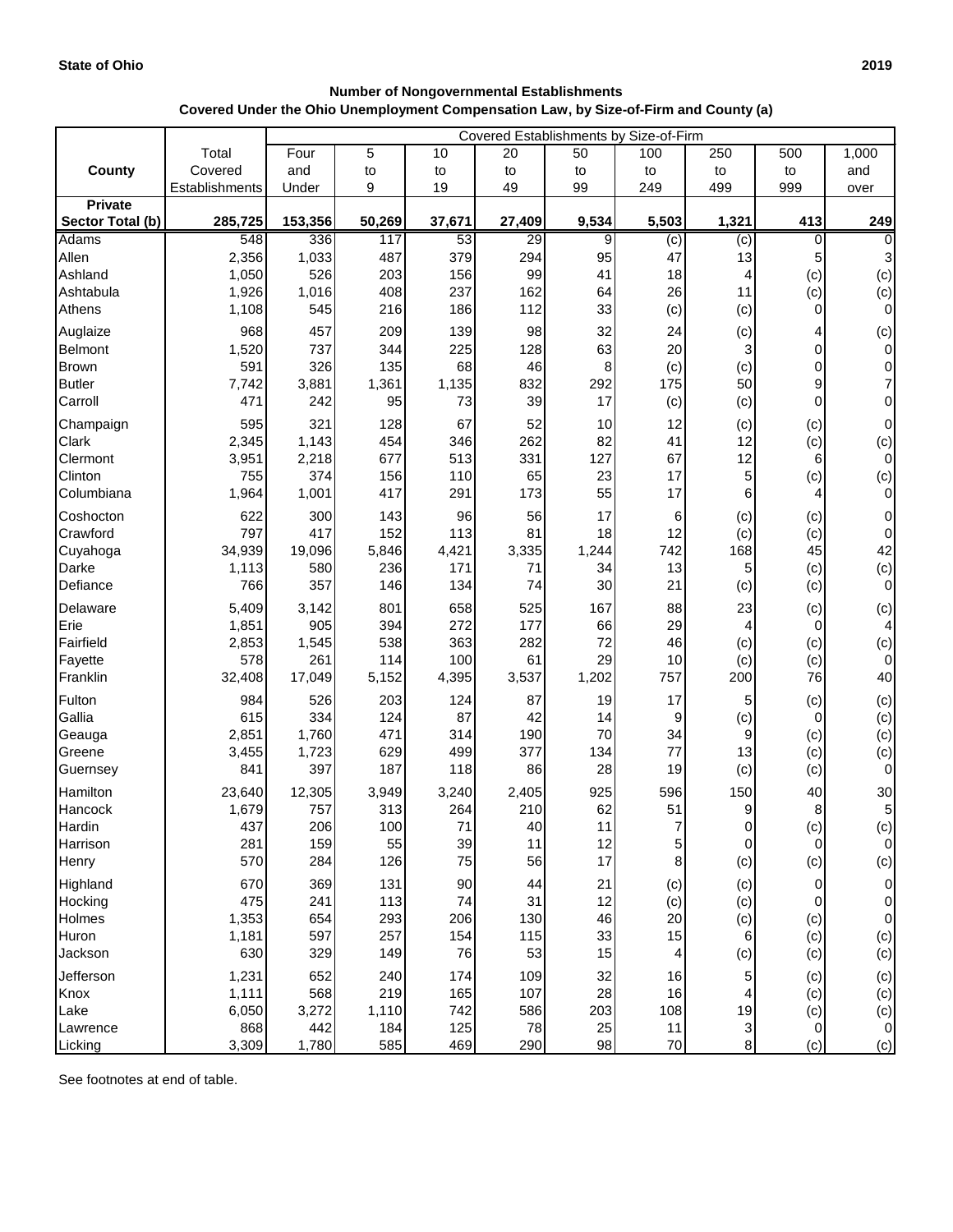## **Number of Nongovernmental Establishments Covered Under the Ohio Unemployment Compensation Law, by Size-of-Firm and County (a)**

|                  | Covered Establishments by Size-of-Firm |         |        |        |                 |       |       |       |     |                 |
|------------------|----------------------------------------|---------|--------|--------|-----------------|-------|-------|-------|-----|-----------------|
|                  | Total                                  | Four    | 5      | 10     | 20              | 50    | 100   | 250   | 500 | 1,000           |
| <b>County</b>    | Covered                                | and     | to     | to     | to              | to    | to    | to    | to  | and             |
|                  | Establishments                         | Under   | 9      | 19     | 49              | 99    | 249   | 499   | 999 | over            |
| <b>Private</b>   |                                        |         |        |        |                 |       |       |       |     |                 |
| Sector Total (b) | 285,725                                | 153,356 | 50,269 | 37,671 | 27,409          | 9,534 | 5,503 | 1,321 | 413 | 249             |
| Adams            | 548                                    | 336     | 117    | 53     | $\overline{29}$ | 9     | (c)   | (c)   | 0   | 0               |
| Allen            | 2,356                                  | 1,033   | 487    | 379    | 294             | 95    | 47    | 13    | 5   | $\mathbf{3}$    |
| Ashland          | 1,050                                  | 526     | 203    | 156    | 99              | 41    | 18    | 4     | (c) | (c)             |
| Ashtabula        | 1,926                                  | 1,016   | 408    | 237    | 162             | 64    | 26    | 11    | (c) | (c)             |
| Athens           | 1,108                                  | 545     | 216    | 186    | 112             | 33    | (c)   | (c)   | 0   | 0               |
| Auglaize         | 968                                    | 457     | 209    | 139    | 98              | 32    | 24    | (c)   | 4   | (c)             |
| Belmont          | 1,520                                  | 737     | 344    | 225    | 128             | 63    | 20    | 3     | 0   | 0               |
| <b>Brown</b>     | 591                                    | 326     | 135    | 68     | 46              | 8     | (c)   | (c)   | 0   | $\overline{0}$  |
| <b>Butler</b>    | 7,742                                  | 3,881   | 1,361  | 1,135  | 832             | 292   | 175   | 50    | 9   | 7               |
| Carroll          | 471                                    | 242     | 95     | 73     | 39              | 17    | (c)   | (c)   | 0   | 0               |
| Champaign        | 595                                    | 321     | 128    | 67     | 52              | 10    | 12    | (c)   | (c) | $\overline{0}$  |
| <b>Clark</b>     | 2,345                                  | 1,143   | 454    | 346    | 262             | 82    | 41    | 12    | (c) | (c)             |
| Clermont         | 3,951                                  | 2,218   | 677    | 513    | 331             | 127   | 67    | 12    | 6   | 0               |
| Clinton          | 755                                    | 374     | 156    | 110    | 65              | 23    | 17    | 5     | (c) | (c)             |
| Columbiana       | 1,964                                  | 1,001   | 417    | 291    | 173             | 55    | 17    | 6     | 4   | 0               |
| Coshocton        | 622                                    | 300     | 143    | 96     | 56              | 17    | 6     | (c)   | (c) | $\overline{0}$  |
| Crawford         | 797                                    | 417     | 152    | 113    | 81              | 18    | 12    | (c)   | (c) | $\sigma$        |
| Cuyahoga         | 34,939                                 | 19,096  | 5,846  | 4,421  | 3,335           | 1,244 | 742   | 168   | 45  | 42              |
| Darke            | 1,113                                  | 580     | 236    | 171    | 71              | 34    | 13    | 5     | (c) | (c)             |
| Defiance         | 766                                    | 357     | 146    | 134    | 74              | 30    | 21    | (c)   | (c) | 0               |
| Delaware         | 5,409                                  | 3,142   | 801    | 658    | 525             | 167   | 88    | 23    | (c) | (c)             |
| Erie             | 1,851                                  | 905     | 394    | 272    | 177             | 66    | 29    | 4     | 0   | $\overline{4}$  |
| Fairfield        | 2,853                                  | 1,545   | 538    | 363    | 282             | 72    | 46    | (c)   | (c) | (c)             |
| Fayette          | 578                                    | 261     | 114    | 100    | 61              | 29    | 10    | (c)   | (c) | $\overline{0}$  |
| Franklin         | 32,408                                 | 17,049  | 5,152  | 4,395  | 3,537           | 1,202 | 757   | 200   | 76  | 40              |
| Fulton           | 984                                    | 526     | 203    | 124    | 87              | 19    | 17    | 5     | (c) | (c)             |
| Gallia           | 615                                    | 334     | 124    | 87     | 42              | 14    | 9     | (c)   | 0   |                 |
| Geauga           | 2,851                                  | 1,760   | 471    | 314    | 190             | 70    | 34    | 9     | (c) | $(c)$<br>$(c)$  |
| Greene           | 3,455                                  | 1,723   | 629    | 499    | 377             | 134   | 77    | 13    | (c) | (c)             |
| Guernsey         | 841                                    | 397     | 187    | 118    | 86              | 28    | 19    | (c)   | (c) | 0               |
| Hamilton         | 23,640                                 | 12,305  | 3,949  | 3,240  | 2,405           | 925   | 596   | 150   | 40  | 30              |
| Hancock          | 1,679                                  | 757     | 313    | 264    | 210             | 62    | 51    |       | 8   | 5 <sup>1</sup>  |
| Hardin           | 437                                    | 206     | 100    | 71     | 40              | 11    |       | 0     | (c) | (c)             |
| Harrison         | 281                                    | 159     | 55     | 39     | 11              | 12    | 5     | 0     | 0   | $\overline{0}$  |
| Henry            | 570                                    | 284     | 126    | 75     | 56              | 17    | 8     | (c)   | (c) | (c)             |
| Highland         | 670                                    | 369     | 131    | 90     | 44              | 21    | (c)   | (c)   | 0   | $\overline{0}$  |
| Hocking          | 475                                    | 241     | 113    | 74     | 31              | 12    | (c)   | (c)   | 0   | $\vert 0 \vert$ |
| Holmes           | 1,353                                  | 654     | 293    | 206    | 130             | 46    | 20    | (c)   | (c) | 0               |
| Huron            | 1,181                                  | 597     | 257    | 154    | 115             | 33    | 15    | 6     | (c) | (c)             |
| Jackson          | 630                                    | 329     | 149    | 76     | 53              | 15    | 4     | (c)   | (c) | (c)             |
| Jefferson        | 1,231                                  | 652     | 240    | 174    | 109             | 32    | 16    | 5     | (c) | (c)             |
| Knox             | 1,111                                  | 568     | 219    | 165    | 107             | 28    | 16    | 4     | (c) | (c)             |
| Lake             | 6,050                                  | 3,272   | 1,110  | 742    | 586             | 203   | 108   | 19    | (c) | (c)             |
| Lawrence         | 868                                    | 442     | 184    | 125    | 78              | 25    | 11    | 3     | 0   | $\overline{0}$  |
| Licking          | 3,309                                  | 1,780   | 585    | 469    | 290             | 98    | 70    | 8     | (c) | (c)             |

See footnotes at end of table.